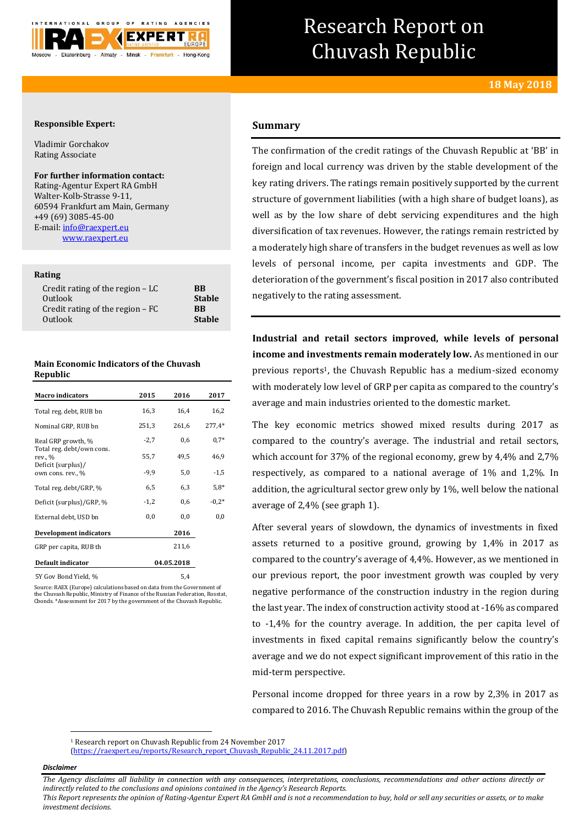

# Research Report on Chuvash Republic

## **Responsible Expert:**

Vladimir Gorchakov Rating Associate

## **For further information contact:**

Rating-Agentur Expert RA GmbH Walter-Kolb-Strasse 9-11, 60594 Frankfurt am Main, Germany +49 (69) 3085-45-00 E-mail[: info@raexpert.eu](mailto:info@raexpert.eu) [www.raexpert.eu](http://raexpert.eu/)

## **Rating**

| <b>BB</b><br><b>Stable</b><br><b>RR</b><br><b>Stable</b> |
|----------------------------------------------------------|
|                                                          |
|                                                          |

| <b>Main Economic Indicators of the Chuvash</b> |
|------------------------------------------------|
| Republic                                       |

| <b>Macro indicators</b>                 | 2015   | 2016       | 2017     |
|-----------------------------------------|--------|------------|----------|
| Total reg. debt, RUB bn                 | 16,3   | 16,4       | 16,2     |
| Nominal GRP, RUB bn                     | 251,3  | 261,6      | $277,4*$ |
| Real GRP growth, %                      | $-2,7$ | 0,6        | $0.7*$   |
| Total reg. debt/own cons.<br>rev., %    | 55,7   | 49,5       | 46,9     |
| Deficit (surplus)/<br>own cons. rev., % | $-9,9$ | 5,0        | $-1,5$   |
| Total reg. debt/GRP, %                  | 6,5    | 6,3        | $5.8*$   |
| Deficit (surplus)/GRP, %                | $-1,2$ | 0,6        | $-0.2*$  |
| External debt, USD bn                   | 0,0    | 0,0        | 0,0      |
| <b>Development indicators</b>           |        | 2016       |          |
| GRP per capita, RUB th                  |        | 211,6      |          |
| Default indicator                       |        | 04.05.2018 |          |
| 5Y Gov Bond Yield, %                    |        | 5,4        |          |

Source: RAEX (Europe) calculations based on data from the Government of the Chuvash Republic, Ministry of Finance of the Russian Federation, Rosstat, Cbonds. \*Assessment for 2017 by the government of the Chuvash Republic.

# **Summary**

The confirmation of the credit ratings of the Chuvash Republic at 'BB' in foreign and local currency was driven by the stable development of the key rating drivers. The ratings remain positively supported by the current structure of government liabilities (with a high share of budget loans), as well as by the low share of debt servicing expenditures and the high diversification of tax revenues. However, the ratings remain restricted by a moderately high share of transfers in the budget revenues as well as low levels of personal income, per capita investments and GDP. The deterioration of the government's fiscal position in 2017 also contributed negatively to the rating assessment.

**Industrial and retail sectors improved, while levels of personal income and investments remain moderately low.** As mentioned in our previous reports <sup>1</sup>, the Chuvash Republic has a medium-sized economy with moderately low level of GRP per capita as compared to the country's average and main industries oriented to the domestic market.

The key economic metrics showed mixed results during 2017 as compared to the country's average. The industrial and retail sectors, which account for 37% of the regional economy, grew by 4,4% and 2,7% respectively, as compared to a national average of 1% and 1,2%. In addition, the agricultural sector grew only by 1%, well below the national average of 2,4% (see graph 1).

After several years of slowdown, the dynamics of investments in fixed assets returned to a positive ground, growing by 1,4% in 2017 as compared to the country's average of 4,4%. However, as we mentioned in our previous report, the poor investment growth was coupled by very negative performance of the construction industry in the region during the last year. The index of construction activity stood at -16% as compared to -1,4% for the country average. In addition, the per capita level of investments in fixed capital remains significantly below the country's average and we do not expect significant improvement of this ratio in the mid-term perspective.

Personal income dropped for three years in a row by 2,3% in 2017 as compared to 2016. The Chuvash Republic remains within the group of the

[\(https://raexpert.eu/reports/Research\\_report\\_Chuvash\\_Republic\\_24.11.2017.pdf\)](https://raexpert.eu/reports/Research_report_Chuvash_Republic_24.11.2017.pdf)

### *Disclaimer*

 $\overline{a}$ 

*The Agency disclaims all liability in connection with any consequences, interpretations, conclusions, recommendations and other actions directly or indirectly related to the conclusions and opinions contained in the Agency's Research Reports.*

*This Report represents the opinion of Rating-Agentur Expert RA GmbH and is not a recommendation to buy, hold or sell any securities or assets, or to make investment decisions.*

<sup>1</sup> Research report on Chuvash Republic from 24 November 2017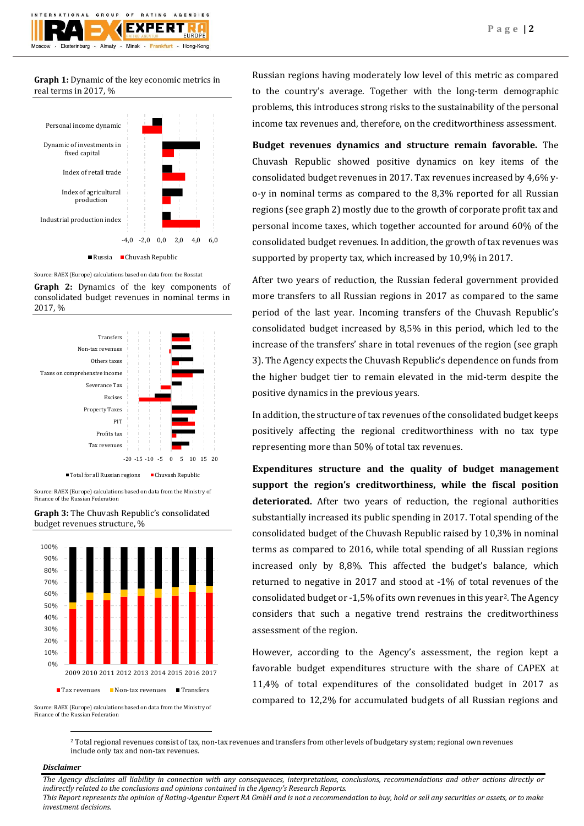

**Graph 1:** Dynamic of the key economic metrics in real terms in 2017, %





**Graph 2:** Dynamics of the key components of consolidated budget revenues in nominal terms in 2017, %





**Graph 3:** The Chuvash Republic's consolidated budget revenues structure, %



Source: RAEX (Europe) calculations based on data from the Ministry of Finance of the Russian Federation

Russian regions having moderately low level of this metric as compared to the country's average. Together with the long-term demographic problems, this introduces strong risks to the sustainability of the personal income tax revenues and, therefore, on the creditworthiness assessment.

**Budget revenues dynamics and structure remain favorable.** The Chuvash Republic showed positive dynamics on key items of the consolidated budget revenues in 2017. Tax revenues increased by 4,6% yo-y in nominal terms as compared to the 8,3% reported for all Russian regions (see graph 2) mostly due to the growth of corporate profit tax and personal income taxes, which together accounted for around 60% of the consolidated budget revenues. In addition, the growth of tax revenues was supported by property tax, which increased by 10,9% in 2017.

After two years of reduction, the Russian federal government provided more transfers to all Russian regions in 2017 as compared to the same period of the last year. Incoming transfers of the Chuvash Republic's consolidated budget increased by 8,5% in this period, which led to the increase of the transfers' share in total revenues of the region (see graph 3). The Agency expects the Chuvash Republic's dependence on funds from the higher budget tier to remain elevated in the mid-term despite the positive dynamics in the previous years.

In addition, the structure of tax revenues of the consolidated budget keeps positively affecting the regional creditworthiness with no tax type representing more than 50% of total tax revenues.

**Expenditures structure and the quality of budget management support the region's creditworthiness, while the fiscal position deteriorated.** After two years of reduction, the regional authorities substantially increased its public spending in 2017. Total spending of the consolidated budget of the Chuvash Republic raised by 10,3% in nominal terms as compared to 2016, while total spending of all Russian regions increased only by 8,8%. This affected the budget's balance, which returned to negative in 2017 and stood at -1% of total revenues of the consolidated budget or -1,5% of its own revenues in this year2. The Agency considers that such a negative trend restrains the creditworthiness assessment of the region.

However, according to the Agency's assessment, the region kept a favorable budget expenditures structure with the share of CAPEX at 11,4% of total expenditures of the consolidated budget in 2017 as compared to 12,2% for accumulated budgets of all Russian regions and

<sup>2</sup> Total regional revenues consist of tax, non-tax revenues and transfers from other levels of budgetary system; regional own revenues include only tax and non-tax revenues.

## *Disclaimer*

 $\overline{a}$ 

*The Agency disclaims all liability in connection with any consequences, interpretations, conclusions, recommendations and other actions directly or indirectly related to the conclusions and opinions contained in the Agency's Research Reports. This Report represents the opinion of Rating-Agentur Expert RA GmbH and is not a recommendation to buy, hold or sell any securities or assets, or to make investment decisions.*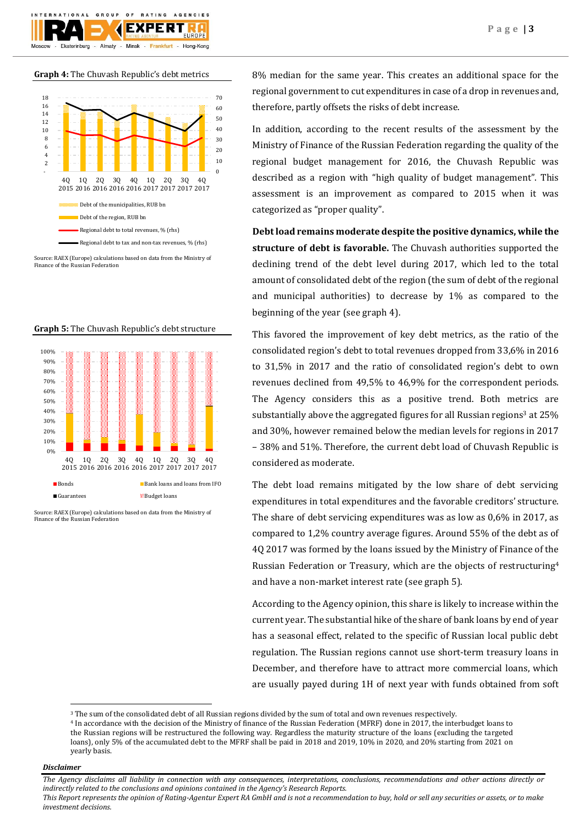

**Graph 4:** The Chuvash Republic's debt metrics



Source: RAEX (Europe) calculations based on data from the Ministry of Finance of the Russian Federation



**Graph 5:** The Chuvash Republic's debt structure

8% median for the same year. This creates an additional space for the regional government to cut expenditures in case of a drop in revenues and, therefore, partly offsets the risks of debt increase.

In addition, according to the recent results of the assessment by the Ministry of Finance of the Russian Federation regarding the quality of the regional budget management for 2016, the Chuvash Republic was described as a region with "high quality of budget management". This assessment is an improvement as compared to 2015 when it was categorized as "proper quality".

**Debt load remains moderate despite the positive dynamics, while the structure of debt is favorable.** The Chuvash authorities supported the declining trend of the debt level during 2017, which led to the total amount of consolidated debt of the region (the sum of debt of the regional and municipal authorities) to decrease by 1% as compared to the beginning of the year (see graph 4).

This favored the improvement of key debt metrics, as the ratio of the consolidated region's debt to total revenues dropped from 33,6% in 2016 to 31,5% in 2017 and the ratio of consolidated region's debt to own revenues declined from 49,5% to 46,9% for the correspondent periods. The Agency considers this as a positive trend. Both metrics are substantially above the aggregated figures for all Russian regions<sup>3</sup> at 25% and 30%, however remained below the median levels for regions in 2017 – 38% and 51%. Therefore, the current debt load of Chuvash Republic is considered as moderate.

The debt load remains mitigated by the low share of debt servicing expenditures in total expenditures and the favorable creditors' structure. The share of debt servicing expenditures was as low as 0,6% in 2017, as compared to 1,2% country average figures. Around 55% of the debt as of 4Q 2017 was formed by the loans issued by the Ministry of Finance of the Russian Federation or Treasury, which are the objects of restructuring<sup>4</sup> and have a non-market interest rate (see graph 5).

According to the Agency opinion, this share is likely to increase within the current year. The substantial hike of the share of bank loans by end of year has a seasonal effect, related to the specific of Russian local public debt regulation. The Russian regions cannot use short-term treasury loans in December, and therefore have to attract more commercial loans, which are usually payed during 1H of next year with funds obtained from soft

## *Disclaimer*

1

*The Agency disclaims all liability in connection with any consequences, interpretations, conclusions, recommendations and other actions directly or indirectly related to the conclusions and opinions contained in the Agency's Research Reports.*

*This Report represents the opinion of Rating-Agentur Expert RA GmbH and is not a recommendation to buy, hold or sell any securities or assets, or to make investment decisions.*

Source: RAEX (Europe) calculations based on data from the Ministry of Finance of the Russian Federation

<sup>3</sup> The sum of the consolidated debt of all Russian regions divided by the sum of total and own revenues respectively.

<sup>4</sup> In accordance with the decision of the Ministry of finance of the Russian Federation (MFRF) done in 2017, the interbudget loans to the Russian regions will be restructured the following way. Regardless the maturity structure of the loans (excluding the targeted loans), only 5% of the accumulated debt to the MFRF shall be paid in 2018 and 2019, 10% in 2020, and 20% starting from 2021 on yearly basis.